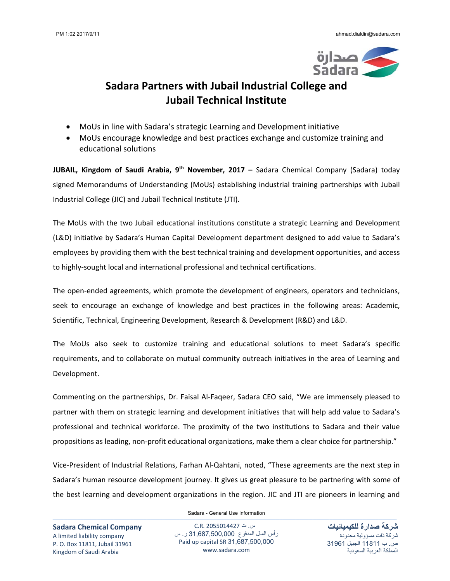

## **Sadara Partners with Jubail Industrial College and Jubail Technical Institute**

- MoUs in line with Sadara's strategic Learning and Development initiative
- MoUs encourage knowledge and best practices exchange and customize training and educational solutions

**JUBAIL, Kingdom of Saudi Arabia, 9th November, 2017 –** Sadara Chemical Company (Sadara) today signed Memorandums of Understanding (MoUs) establishing industrial training partnerships with Jubail Industrial College (JIC) and Jubail Technical Institute (JTI).

The MoUs with the two Jubail educational institutions constitute a strategic Learning and Development (L&D) initiative by Sadara's Human Capital Development department designed to add value to Sadara's employees by providing them with the best technical training and development opportunities, and access to highly‐sought local and international professional and technical certifications.

The open-ended agreements, which promote the development of engineers, operators and technicians, seek to encourage an exchange of knowledge and best practices in the following areas: Academic, Scientific, Technical, Engineering Development, Research & Development (R&D) and L&D.

The MoUs also seek to customize training and educational solutions to meet Sadara's specific requirements, and to collaborate on mutual community outreach initiatives in the area of Learning and Development.

Commenting on the partnerships, Dr. Faisal Al‐Faqeer, Sadara CEO said, "We are immensely pleased to partner with them on strategic learning and development initiatives that will help add value to Sadara's professional and technical workforce. The proximity of the two institutions to Sadara and their value propositions as leading, non‐profit educational organizations, make them a clear choice for partnership."

Vice‐President of Industrial Relations, Farhan Al‐Qahtani, noted, "These agreements are the next step in Sadara's human resource development journey. It gives us great pleasure to be partnering with some of the best learning and development organizations in the region. JIC and JTI are pioneers in learning and

Sadara - General Use Information

**Sadara Chemical Company** A limited liability company P. O. Box 11811, Jubail 31961 Kingdom of Saudi Arabia

س. ت 2055014427 .R.C رأس المال المدفوع 31,687,500,000 ر. س Paid up capital SR 31,687,500,000 www.sadara.com

**شركة صدارة للكيميائيات** شركة ذات مسؤولية محدودة ص. ب 11811 الجبيل 31961 المملكة العربية السعودية